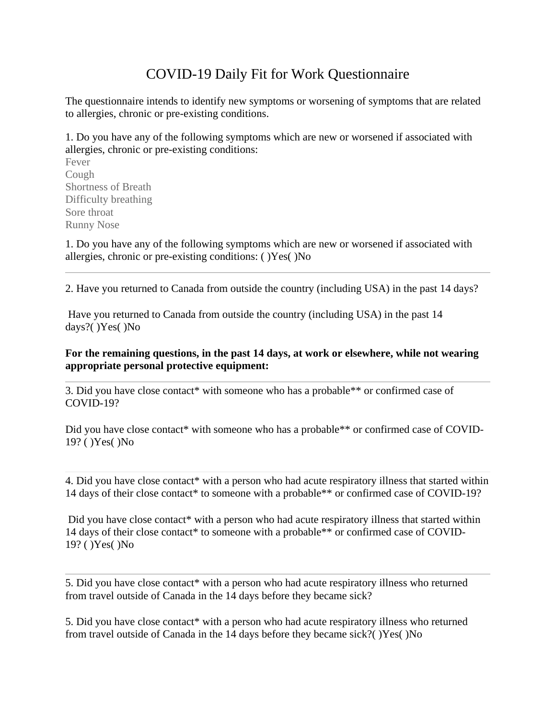## COVID-19 Daily Fit for Work Questionnaire

The questionnaire intends to identify new symptoms or worsening of symptoms that are related to allergies, chronic or pre-existing conditions.

1. Do you have any of the following symptoms which are new or worsened if associated with allergies, chronic or pre-existing conditions:

Fever Cough Shortness of Breath Difficulty breathing Sore throat Runny Nose

1. Do you have any of the following symptoms which are new or worsened if associated with allergies, chronic or pre-existing conditions: ( )Yes( )No

2. Have you returned to Canada from outside the country (including USA) in the past 14 days?

Have you returned to Canada from outside the country (including USA) in the past 14 days?( )Yes( )No

## **For the remaining questions, in the past 14 days, at work or elsewhere, while not wearing appropriate personal protective equipment:**

3. Did you have close contact\* with someone who has a probable\*\* or confirmed case of COVID-19?

Did you have close contact\* with someone who has a probable\*\* or confirmed case of COVID-19? ( )Yes( )No

4. Did you have close contact<sup>\*</sup> with a person who had acute respiratory illness that started within 14 days of their close contact\* to someone with a probable\*\* or confirmed case of COVID-19?

Did you have close contact\* with a person who had acute respiratory illness that started within 14 days of their close contact\* to someone with a probable\*\* or confirmed case of COVID-19? ( )Yes( )No

5. Did you have close contact\* with a person who had acute respiratory illness who returned from travel outside of Canada in the 14 days before they became sick?

5. Did you have close contact\* with a person who had acute respiratory illness who returned from travel outside of Canada in the 14 days before they became sick?( )Yes( )No